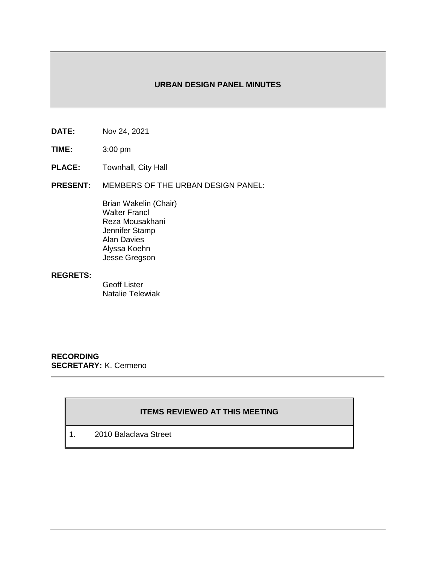## **URBAN DESIGN PANEL MINUTES**

- **DATE:** Nov 24, 2021
- **TIME:** 3:00 pm
- **PLACE:** Townhall, City Hall
- **PRESENT:** MEMBERS OF THE URBAN DESIGN PANEL:

Brian Wakelin (Chair) Walter Francl Reza Mousakhani Jennifer Stamp Alan Davies Alyssa Koehn Jesse Gregson

## **REGRETS:**

Geoff Lister Natalie Telewiak

**RECORDING SECRETARY:** K. Cermeno

# **ITEMS REVIEWED AT THIS MEETING**

1. 2010 Balaclava Street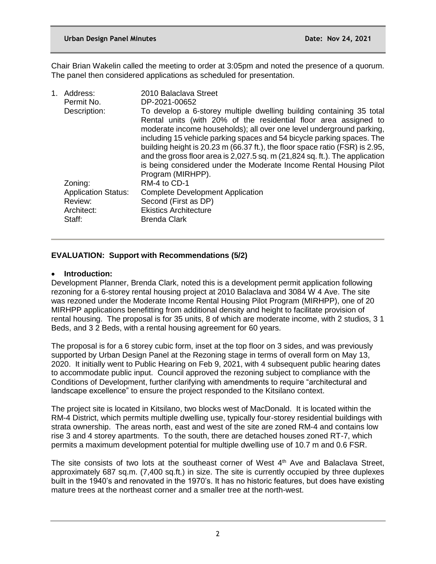Chair Brian Wakelin called the meeting to order at 3:05pm and noted the presence of a quorum. The panel then considered applications as scheduled for presentation.

| Address:<br>Permit No.     | 2010 Balaclava Street<br>DP-2021-00652                                                                                                            |
|----------------------------|---------------------------------------------------------------------------------------------------------------------------------------------------|
| Description:               | To develop a 6-storey multiple dwelling building containing 35 total<br>Rental units (with 20% of the residential floor area assigned to          |
|                            | moderate income households); all over one level underground parking,<br>including 15 vehicle parking spaces and 54 bicycle parking spaces. The    |
|                            | building height is 20.23 m (66.37 ft.), the floor space ratio (FSR) is 2.95,                                                                      |
|                            | and the gross floor area is 2,027.5 sq. m (21,824 sq. ft.). The application<br>is being considered under the Moderate Income Rental Housing Pilot |
|                            | Program (MIRHPP).                                                                                                                                 |
| Zoning:                    | RM-4 to CD-1                                                                                                                                      |
| <b>Application Status:</b> | <b>Complete Development Application</b>                                                                                                           |
| Review:                    | Second (First as DP)                                                                                                                              |
| Architect:                 | <b>Ekistics Architecture</b>                                                                                                                      |
| Staff:                     | <b>Brenda Clark</b>                                                                                                                               |
|                            | 1.                                                                                                                                                |

# **EVALUATION: Support with Recommendations (5/2)**

### **Introduction:**

Development Planner, Brenda Clark, noted this is a development permit application following rezoning for a 6-storey rental housing project at 2010 Balaclava and 3084 W 4 Ave. The site was rezoned under the Moderate Income Rental Housing Pilot Program (MIRHPP), one of 20 MIRHPP applications benefitting from additional density and height to facilitate provision of rental housing. The proposal is for 35 units, 8 of which are moderate income, with 2 studios, 3 1 Beds, and 3 2 Beds, with a rental housing agreement for 60 years.

The proposal is for a 6 storey cubic form, inset at the top floor on 3 sides, and was previously supported by Urban Design Panel at the Rezoning stage in terms of overall form on May 13, 2020. It initially went to Public Hearing on Feb 9, 2021, with 4 subsequent public hearing dates to accommodate public input. Council approved the rezoning subject to compliance with the Conditions of Development, further clarifying with amendments to require "architectural and landscape excellence" to ensure the project responded to the Kitsilano context.

The project site is located in Kitsilano, two blocks west of MacDonald. It is located within the RM-4 District, which permits multiple dwelling use, typically four-storey residential buildings with strata ownership. The areas north, east and west of the site are zoned RM-4 and contains low rise 3 and 4 storey apartments. To the south, there are detached houses zoned RT-7, which permits a maximum development potential for multiple dwelling use of 10.7 m and 0.6 FSR.

The site consists of two lots at the southeast corner of West  $4<sup>th</sup>$  Ave and Balaclava Street, approximately 687 sq.m. (7,400 sq.ft.) in size. The site is currently occupied by three duplexes built in the 1940's and renovated in the 1970's. It has no historic features, but does have existing mature trees at the northeast corner and a smaller tree at the north-west.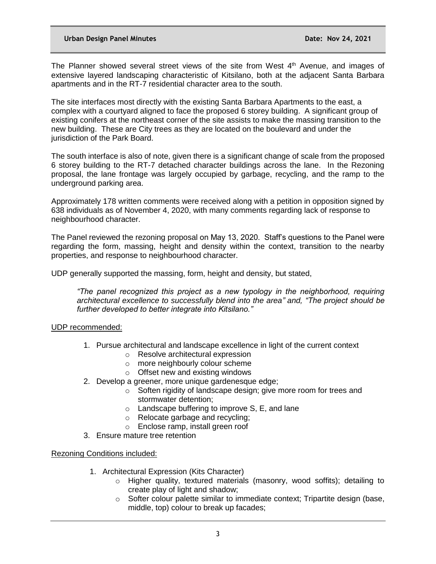The Planner showed several street views of the site from West  $4<sup>th</sup>$  Avenue, and images of extensive layered landscaping characteristic of Kitsilano, both at the adjacent Santa Barbara apartments and in the RT-7 residential character area to the south.

The site interfaces most directly with the existing Santa Barbara Apartments to the east, a complex with a courtyard aligned to face the proposed 6 storey building. A significant group of existing conifers at the northeast corner of the site assists to make the massing transition to the new building. These are City trees as they are located on the boulevard and under the jurisdiction of the Park Board.

The south interface is also of note, given there is a significant change of scale from the proposed 6 storey building to the RT-7 detached character buildings across the lane. In the Rezoning proposal, the lane frontage was largely occupied by garbage, recycling, and the ramp to the underground parking area.

Approximately 178 written comments were received along with a petition in opposition signed by 638 individuals as of November 4, 2020, with many comments regarding lack of response to neighbourhood character.

The Panel reviewed the rezoning proposal on May 13, 2020. Staff's questions to the Panel were regarding the form, massing, height and density within the context, transition to the nearby properties, and response to neighbourhood character.

UDP generally supported the massing, form, height and density, but stated,

*"The panel recognized this project as a new typology in the neighborhood, requiring architectural excellence to successfully blend into the area" and, "The project should be further developed to better integrate into Kitsilano."* 

#### UDP recommended:

- 1. Pursue architectural and landscape excellence in light of the current context
	- o Resolve architectural expression
	- o more neighbourly colour scheme
	- o Offset new and existing windows
- 2. Develop a greener, more unique gardenesque edge;
	- o Soften rigidity of landscape design; give more room for trees and stormwater detention;
	- o Landscape buffering to improve S, E, and lane
	- o Relocate garbage and recycling;
	- o Enclose ramp, install green roof
- 3. Ensure mature tree retention

#### Rezoning Conditions included:

- 1. Architectural Expression (Kits Character)
	- $\circ$  Higher quality, textured materials (masonry, wood soffits); detailing to create play of light and shadow;
	- $\circ$  Softer colour palette similar to immediate context; Tripartite design (base, middle, top) colour to break up facades;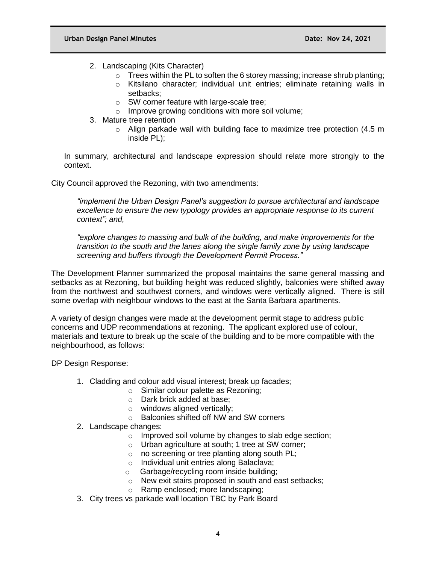- 2. Landscaping (Kits Character)
	- $\circ$  Trees within the PL to soften the 6 storey massing; increase shrub planting;
	- o Kitsilano character; individual unit entries; eliminate retaining walls in setbacks;
	- o SW corner feature with large-scale tree;
	- o Improve growing conditions with more soil volume;
- 3. Mature tree retention
	- o Align parkade wall with building face to maximize tree protection (4.5 m inside PL);

In summary, architectural and landscape expression should relate more strongly to the context.

City Council approved the Rezoning, with two amendments:

*"implement the Urban Design Panel's suggestion to pursue architectural and landscape excellence to ensure the new typology provides an appropriate response to its current context"; and,*

*"explore changes to massing and bulk of the building, and make improvements for the transition to the south and the lanes along the single family zone by using landscape screening and buffers through the Development Permit Process."*

The Development Planner summarized the proposal maintains the same general massing and setbacks as at Rezoning, but building height was reduced slightly, balconies were shifted away from the northwest and southwest corners, and windows were vertically aligned. There is still some overlap with neighbour windows to the east at the Santa Barbara apartments.

A variety of design changes were made at the development permit stage to address public concerns and UDP recommendations at rezoning. The applicant explored use of colour, materials and texture to break up the scale of the building and to be more compatible with the neighbourhood, as follows:

DP Design Response:

- 1. Cladding and colour add visual interest; break up facades;
	- o Similar colour palette as Rezoning;
	- o Dark brick added at base;
	- o windows aligned vertically;
	- o Balconies shifted off NW and SW corners
- 2. Landscape changes:
	- o Improved soil volume by changes to slab edge section;
	- o Urban agriculture at south; 1 tree at SW corner;
	- $\circ$  no screening or tree planting along south PL;
	- o Individual unit entries along Balaclava;
	- o Garbage/recycling room inside building;
	- o New exit stairs proposed in south and east setbacks;
	- o Ramp enclosed; more landscaping;
- 3. City trees vs parkade wall location TBC by Park Board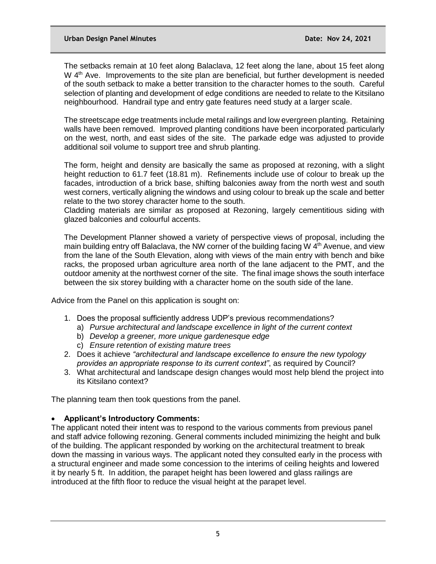The setbacks remain at 10 feet along Balaclava, 12 feet along the lane, about 15 feet along W  $4<sup>th</sup>$  Ave. Improvements to the site plan are beneficial, but further development is needed of the south setback to make a better transition to the character homes to the south. Careful selection of planting and development of edge conditions are needed to relate to the Kitsilano neighbourhood. Handrail type and entry gate features need study at a larger scale.

The streetscape edge treatments include metal railings and low evergreen planting. Retaining walls have been removed. Improved planting conditions have been incorporated particularly on the west, north, and east sides of the site. The parkade edge was adjusted to provide additional soil volume to support tree and shrub planting.

The form, height and density are basically the same as proposed at rezoning, with a slight height reduction to 61.7 feet (18.81 m). Refinements include use of colour to break up the facades, introduction of a brick base, shifting balconies away from the north west and south west corners, vertically aligning the windows and using colour to break up the scale and better relate to the two storey character home to the south.

Cladding materials are similar as proposed at Rezoning, largely cementitious siding with glazed balconies and colourful accents.

The Development Planner showed a variety of perspective views of proposal, including the main building entry off Balaclava, the NW corner of the building facing W  $4<sup>th</sup>$  Avenue, and view from the lane of the South Elevation, along with views of the main entry with bench and bike racks, the proposed urban agriculture area north of the lane adjacent to the PMT, and the outdoor amenity at the northwest corner of the site. The final image shows the south interface between the six storey building with a character home on the south side of the lane.

Advice from the Panel on this application is sought on:

- 1. Does the proposal sufficiently address UDP's previous recommendations?
	- a) *Pursue architectural and landscape excellence in light of the current context*
	- b) *Develop a greener, more unique gardenesque edge*
	- c) *Ensure retention of existing mature trees*
- 2. Does it achieve *"architectural and landscape excellence to ensure the new typology provides an appropriate response to its current context"*, as required by Council?
- 3. What architectural and landscape design changes would most help blend the project into its Kitsilano context?

The planning team then took questions from the panel.

#### **Applicant's Introductory Comments:**

The applicant noted their intent was to respond to the various comments from previous panel and staff advice following rezoning. General comments included minimizing the height and bulk of the building. The applicant responded by working on the architectural treatment to break down the massing in various ways. The applicant noted they consulted early in the process with a structural engineer and made some concession to the interims of ceiling heights and lowered it by nearly 5 ft. In addition, the parapet height has been lowered and glass railings are introduced at the fifth floor to reduce the visual height at the parapet level.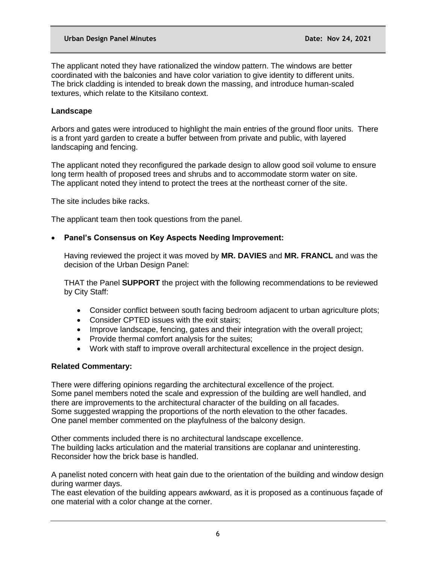The applicant noted they have rationalized the window pattern. The windows are better coordinated with the balconies and have color variation to give identity to different units. The brick cladding is intended to break down the massing, and introduce human-scaled textures, which relate to the Kitsilano context.

# **Landscape**

Arbors and gates were introduced to highlight the main entries of the ground floor units. There is a front yard garden to create a buffer between from private and public, with layered landscaping and fencing.

The applicant noted they reconfigured the parkade design to allow good soil volume to ensure long term health of proposed trees and shrubs and to accommodate storm water on site. The applicant noted they intend to protect the trees at the northeast corner of the site.

The site includes bike racks.

The applicant team then took questions from the panel.

## **Panel's Consensus on Key Aspects Needing Improvement:**

Having reviewed the project it was moved by **MR. DAVIES** and **MR. FRANCL** and was the decision of the Urban Design Panel:

THAT the Panel **SUPPORT** the project with the following recommendations to be reviewed by City Staff:

- Consider conflict between south facing bedroom adjacent to urban agriculture plots;
- Consider CPTED issues with the exit stairs:
- Improve landscape, fencing, gates and their integration with the overall project;
- Provide thermal comfort analysis for the suites;
- Work with staff to improve overall architectural excellence in the project design.

## **Related Commentary:**

There were differing opinions regarding the architectural excellence of the project. Some panel members noted the scale and expression of the building are well handled, and there are improvements to the architectural character of the building on all facades. Some suggested wrapping the proportions of the north elevation to the other facades. One panel member commented on the playfulness of the balcony design.

Other comments included there is no architectural landscape excellence. The building lacks articulation and the material transitions are coplanar and uninteresting. Reconsider how the brick base is handled.

A panelist noted concern with heat gain due to the orientation of the building and window design during warmer days.

The east elevation of the building appears awkward, as it is proposed as a continuous façade of one material with a color change at the corner.